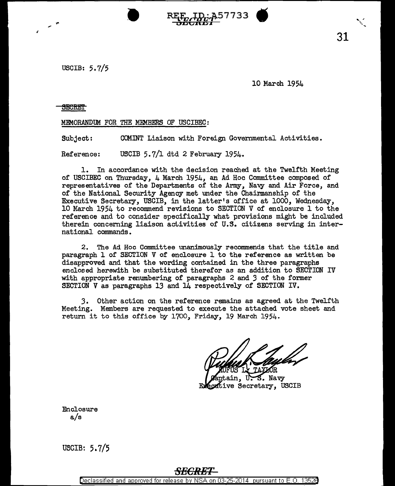USCIB: 5.7/5

10 March 1954

 $\ddot{\phantom{0}}$ 

 $RE_{ECKE1}^{E}$  31

## **SECRET**

MEMORANDUM FOR THE MEMBERS OF USCIBEC:

Subject: COMINT Liaison with Foreign Governmental Activities.

Reference: USCIB 5.7/1 dtd 2 February 1954.

1. In accordance with the decision reached at the Twelfth Meeting of USCIBEC on Thursday, 4 March 1954, an Ad Hoc Committee composed of representatives of the Departments of the Army, Navy and Air Force, and of the National Security Agency met under the Chairmanship of the Executive Secretary, USCIB, in the latter's office at 1000, Wednesday, 10 March 1954 to recommend revisions to SECTION V of enclosure 1 to the reference and to consider specifically what provisions might be included therein concerning liaison activities of U.S. citizens serving in international commands.

2. The Ad Hoc Committee unanimously recommends that the title and paragraph l of SECTION V of enclosure 1 to the reference as written be disapproved and that the wording contained in the three paragraphs enclosed herewith be substituted therefor as an addition to SECTION IV with appropriate renumbering of paragraphs 2 and *3* of the former SECTION *V* as paragraphs 13 and 14 respectively of SECTION IV.

*3.* Other action on the reference remains as agreed at the Twelfth Meeting. Members are requested to execute the attached vote sheet and return it to this office by 1700, Friday, 19 March 1954.

in. U.S. Navy Executive Secretary, USCIB

Enclosure a/s

U5CIB: 5.7/5

## **SECRET**

Declassified and approved for release by NSA on 03-25-2014 pursuant to E.O. 13528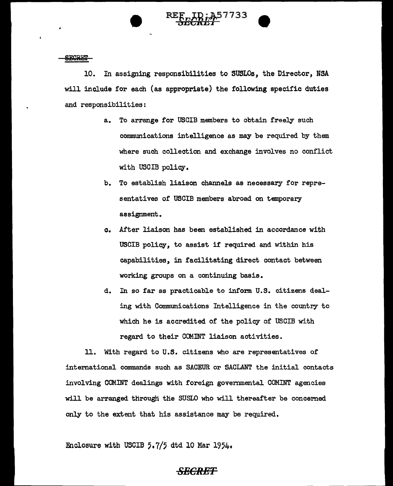



10. In assigning responsibilities to SUSLOs, the Director, NSA will include for each (as appropriate) the following specific duties and responsibilities:

- a. To arrange for USCIB members to obtain freely such communications intelligence as may be required by them where such collection and exchange involves no conflict with USCIB policy.
- b. To establish liaison channels as necessary for representatives of USCIB members abroad on temporary assignment.
- c. After liaison has been established in accordance with USCIB policy, to assist if required and within his capabilities, in facilitating direct contact between working groups on a continuing basis.
- d. In so far as practicable to inform U.S. citizens dealing with Communications Intelligence in the country to which he is accredited of the policy of USCIB with regard to their COMINT liaison activities.

ll. With regard to U.S. citizens who are representatives of international commands such as SACEUR or SACLANT the initial contacts involving COM.INT dealings with foreign governmental COMINT agencies will be arranged through the SUSLO who will thereafter be concerned only to the extent that his assistance may be required.

Enclosure with USCIB  $5.7/5$  dtd 10 Mar 1954.

## *SECRET*